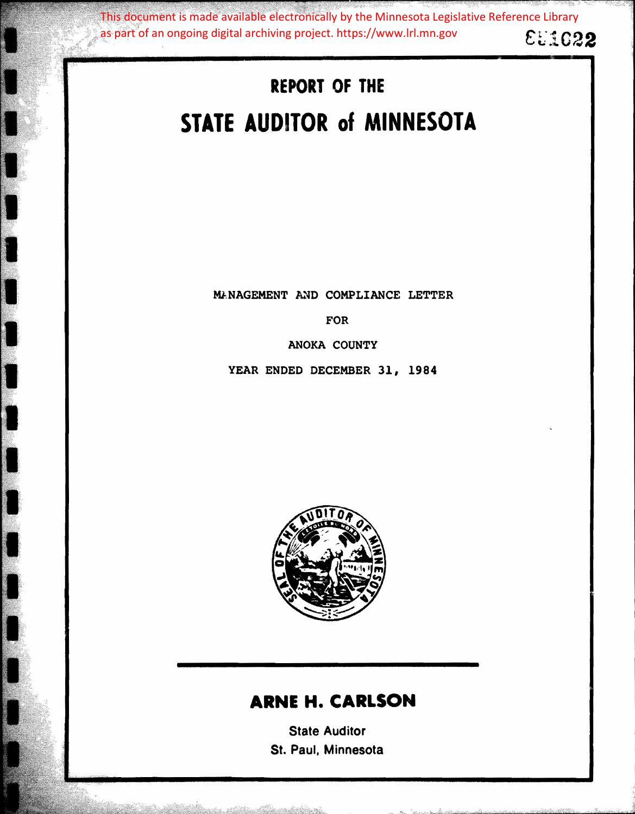Et1C22 This document is made available electronically by the Minnesota Legislative Reference Library as part of an ongoing digital archiving project. https://www.lrl.mn.gov

# **REPORT OF THE STATE AUDITOR of MINNESOTA**

MANAGEMENT AND COMPLIANCE LETTER

FOR

ANOKA COUNTY

YEAR ENDED DECEMBER 31, **1984** 



# **ARNE H. CARLSON**

State Auditor St. Paul, Minnesota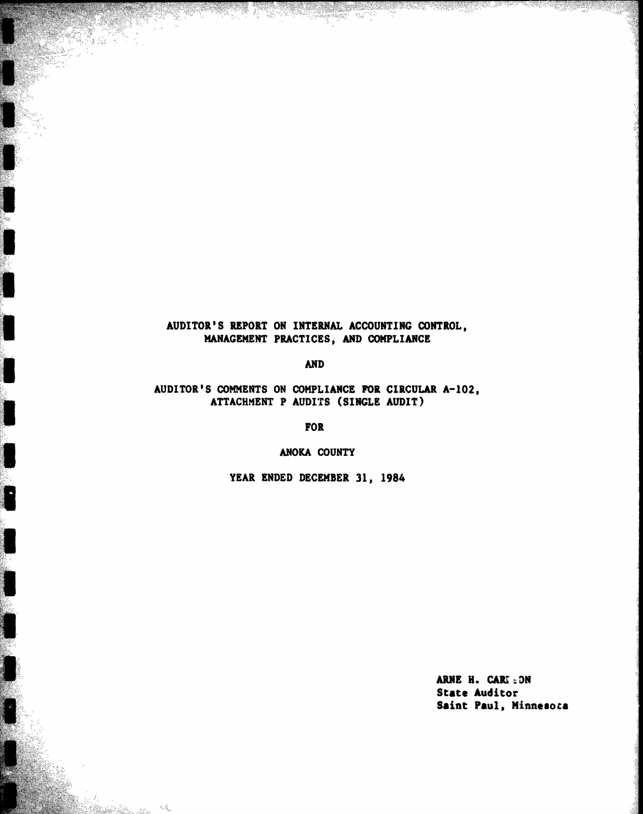# AUDITOR'S REPORT ON INTERNAL ACCOUNTING CONTROL, MANAGEMENT PRACTICES, AND COMPLIANCE

**AND** 

## AUDITOR'S COMMENTS ON COMPLIANCE FOR CIRCULAR A-102, ATTACHMENT P AUDITS (SINGLE AUDIT)

**FOR** 

ANOKA COUNTY

F

宏彦

YEAR ENDED DECEMBER 31, 1984

ARNE H. CARI : ON **State Auditor** Saint Paul, Minnesota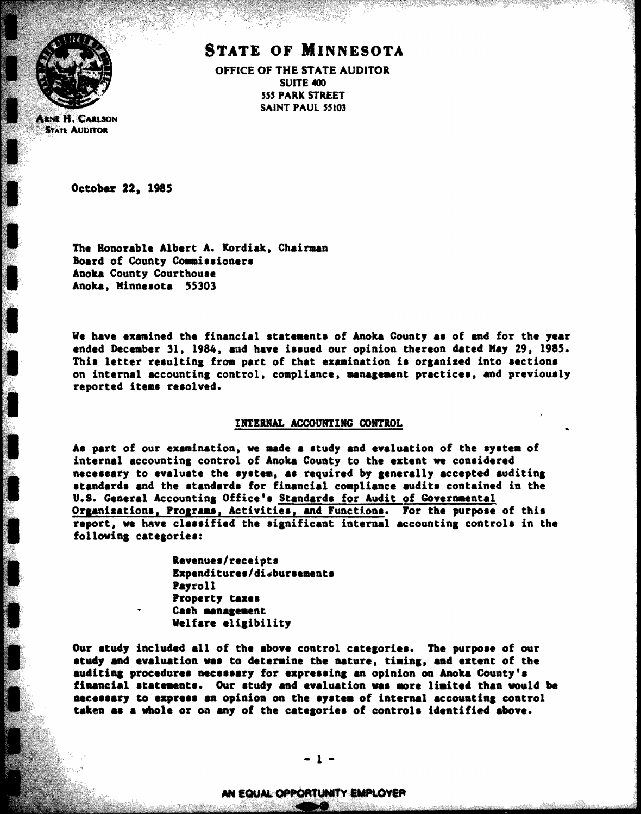

**ARNE H. CARLSON STATE AUDITOR** 

# **STATE OF MINNESOTA**

OFFICE OF THE STATE AUDITOR SUITE 400 **555 PARK STREET** SAINT PAUL 55103

October 22, 1985

The Honorable Albert A. Kordiak, Chairman Board of County Commissioners Anoka County Courthouse Anoka, Minnesota 55303

We have examined the financial statements of Anoka County as of and for the year ended December 31, 1984, and have issued our opinion thereon dated May 29, 1985. This letter resulting from part of that examination is organized into sections on internal accounting control, compliance, management practices, and previously reported items resolved.

#### INTERNAL ACCOUNTING CONTROL

As part of our examination, we made a study and evaluation of the system of internal accounting control of Anoka County to the extent we considered necessary to evaluate the system, as required by generally accepted auditing standards and the standards for financial compliance audits contained in the U.S. General Accounting Office's Standards for Audit of Governmental Organizations, Programs, Activities, and Functions. For the purpose of this report, we have classified the significant internal accounting controls in the following categories:

> Revenues/receipts Expenditures/disbursements **Payroll** Property taxes Cash management Welfare eligibility

Our study included all of the above control categories. The purpose of our study and evaluation was to determine the nature, timing, and extent of the auditing procedures necessary for expressing an opinion on Anoka County's financial statements. Our study and evaluation was more limited than would be necessary to express an opinion on the system of internal accounting control taken as a whole or on any of the categories of controls identified above.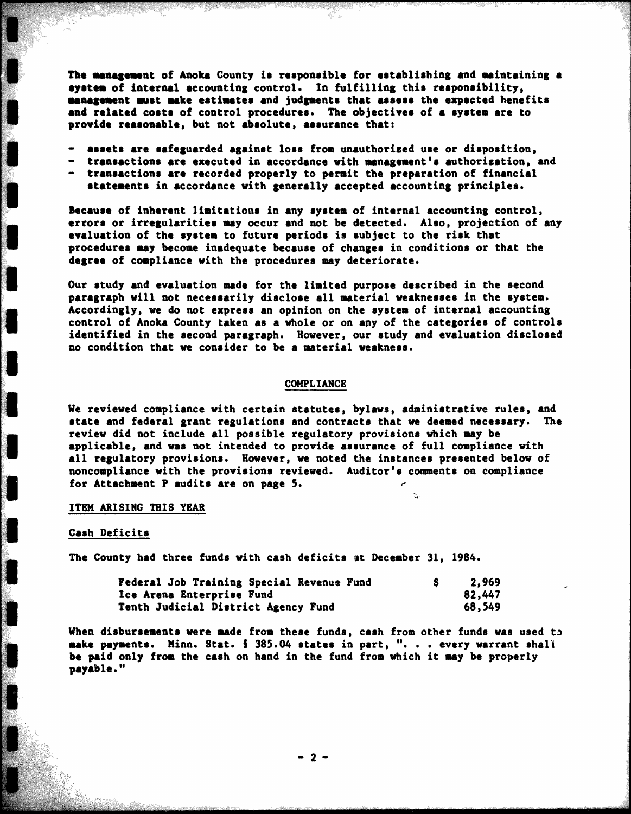The management of Anoka County is responsible for establishing and maintaining a system of internal accounting control. In fulfilling this responsibility, management must make estimates and judgments that assess the expected henefits and related costs of control procedures. The objectives of a system are to provide reasonable, but not absolute, assurance that:

- assets are safeguarded against loss from unauthorized use or disposition,
- transactions are executed in accordance with management's authorization, and
- transactions are recorded properly to permit the preparation of financial statements in accordance with generally accepted accounting principles.

Because of inherent limitations in any system of internal accounting control, errors or irregularities may occur and not be detected. Also, projection of any evaluation of the system to future periods is subject to the risk that procedures may become inadequate because of changes in conditions or that the degree of compliance with the procedures may deteriorate.

Our study and evaluation made for the limited purpose described in the second paragraph will not necessarily disclose all material weaknesses in the system. Accordingly, we do not express an opinion on the system of internal accounting control of Anoka County taken as a whole or on any of the categories of controls identified in the second paragraph. However, our study and evaluation disclosed no condition that we consider to be a material weakness.

#### COMPLIANCE

We reviewed compliance with certain statutes, bylaws, administrative rules, and state and federal grant regulations and contracts that we deemed necessary. The review did not include all possible regulatory provisions which may be applicable, and was not intended to provide assurance of full compliance with all regulatory provisions. However, we noted the instances presented below of noncompliance with the provisions reviewed. Auditor's comments on compliance for Attachment P audits are on page 5.

 $\mathbb{R}$ .

#### ITEM ARISING THIS YEAR

#### Cash Deficits

The County had three funds with cash deficits at December 31, 1984.

| Federal Job Training Special Revenue Fund | 2.969  |
|-------------------------------------------|--------|
| <b>Ice Arena Enterprise Fund</b>          | 82,447 |
| Tenth Judicial District Agency Fund       | 68,549 |

When disbursements were made from these funds, cash from other funds was used to make payments. Minn. Stat. 5 385.04 states in part, ". . . every warrant shall be paid only from the cash on hand in the fund from which it may be properly payable."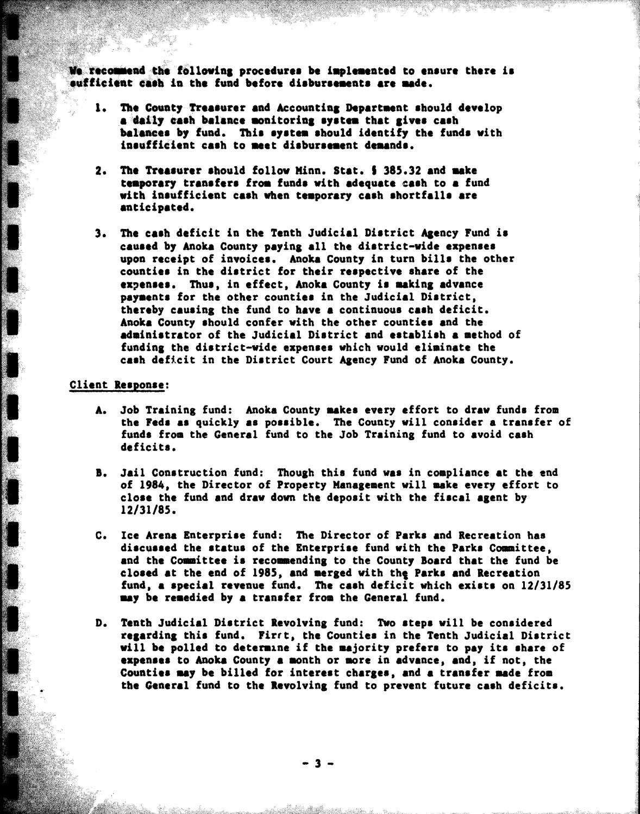We recommend the following procedures be implemented to ensure there is sufficient cash in the fund before disbursements are made.

- The County-Treasurer and Accounting Department should develop a daily cash balance monitoring system that gives cash balances by fund. This system should identify the funds with insufficient cash to meet disbursement demands.
- 2. The Treasurer should follow Minn. Stat. § 385.32 and make temporary transfers from funds with adequate cash to a fund with insufficient cash when temporary cash shortfalls are anticipated.
- 3. The cash deficit in the Tenth Judicial District Agency Fund is caused by Anoka County paying all the district-wide expenses upon receipt of invoices. Anoka County in turn bills the other counties in the district for their respective share of the expenses. Thus, in effect, Anoka County is making advance payments for the other counties in the Judicial District, thereby causing the fund to have a continuous cash deficit. Anoka County should confer with the other counties and the administrator of the Judicial District and establish a method of funding the district-wide expenses which would eliminate the cash deficit in the District Court Agency Fund of Anoka County.

#### Client Response:

 $\cdot$ 

- A. Job Training fund: Anoka County makes every effort to draw funds from the Feds as quickly as possible. The County will consider a transfer of funds from the General fund to the Job Training fund to avoid cash deficits.
- Jail Construction fund: Though this fund was in compliance at the end **B.** of 1984, the Director of Property Management will make every effort to close the fund and draw down the deposit with the fiscal agent by  $12/31/85.$
- C. Ice Arena Enterprise fund: The Director of Parks and Recreation has discussed the status of the Enterprise fund with the Parks Committee. and the Committee is recommending to the County Board that the fund be closed at the end of 1985, and merged with the Parks and Recreation fund, a special revenue fund. The cash deficit which exists on 12/31/85 may be remedied by a transfer from the General fund.
- D. Tenth Judicial District Revolving fund: Two steps will be considered regarding this fund. First, the Counties in the Tenth Judicial District will be polled to determine if the majority prefers to pay its share of expenses to Anoka County a month or more in advance, and, if not, the Counties may be billed for interest charges, and a transfer made from the General fund to the Revolving fund to prevent future cash deficits.

 $3 -$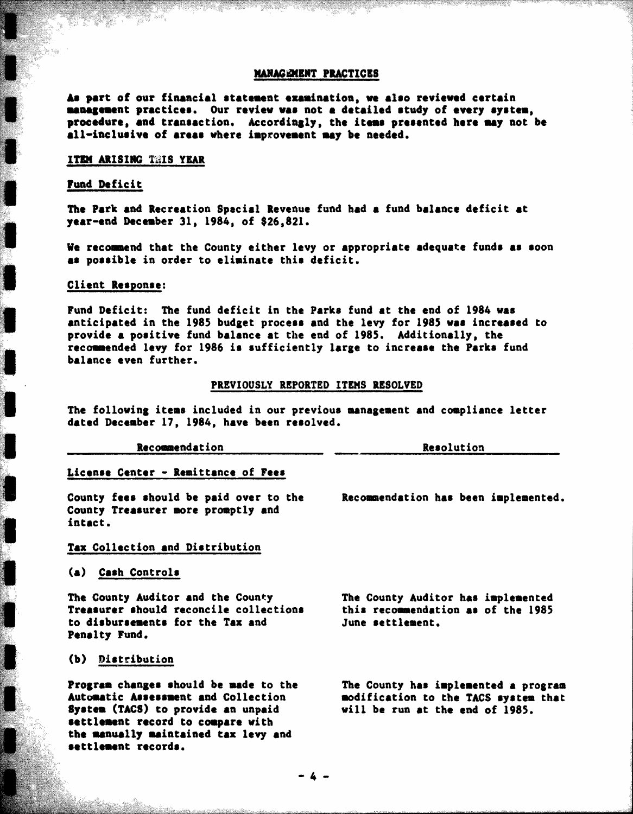#### MANAGEMENT PRACTICES

As part of our financial statement examination, we also reviewed certain management practices. Our review was not a detailed study of every system. procedure, and transaction. Accordingly, the items presented here may not be all-inclusive of areas where improvement may be needed.

#### ITEM ARISING THIS YEAR

#### Fund Deficit

The Park and Recreation Spacial Revenue fund had a fund balance deficit at year-end December 31, 1984, of \$26,821.

We recommend that the County either levy or appropriate adequate funds as soon as possible in order to eliminate this deficit.

#### Client Response:

Fund Deficit: The fund deficit in the Parks fund at the end of 1984 was anticipated in the 1985 budget process and the levy for 1985 was increased to provide a positive fund balance at the end of 1985. Additionally, the recommended levy for 1986 is sufficiently large to increase the Parks fund balance even further.

#### PREVIOUSLY REPORTED ITEMS RESOLVED

The following items included in our previous management and compliance letter dated December 17, 1984, have been resolved.

|  |  | Recommendation |  |  |  |  |  |
|--|--|----------------|--|--|--|--|--|
|  |  |                |  |  |  |  |  |

Resolution

Recommendation has been implemented.

## License Center - Remittance of Fees

County fees should be paid over to the County Treasurer more promptly and intact.

# Tax Collection and Distribution

#### (a) Cash Controls

The County Auditor and the County Treasurer should reconcile collections to disbursements for the Tax and Penalty Fund.

# (b) Distribution

Program changes should be made to the Automatic Assessment and Collection System (TACS) to provide an unpaid settlement record to compare with the manually maintained tax levy and settlement records.

The County Auditor has implemented this recommendation as of the 1985 June settlement.

The County has implemented a program modification to the TACS system that will be run at the end of 1985.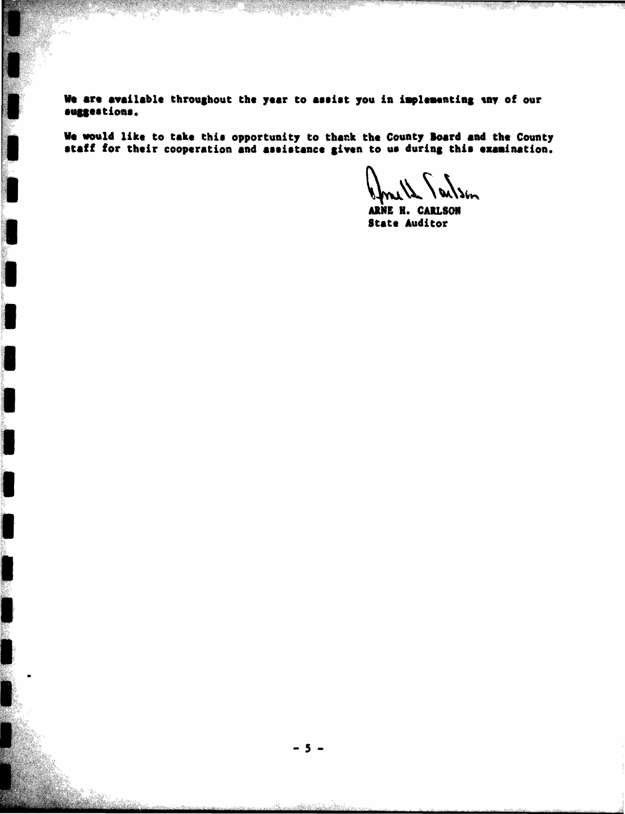We are available throughout the year to assist you in implementing any of our suggestions.

We would like to take this opportunity to thank the County Board and the County staff for their cooperation and assistance given to us during this examination.

**S**bn

ARNE H. CARLSON **State Auditor**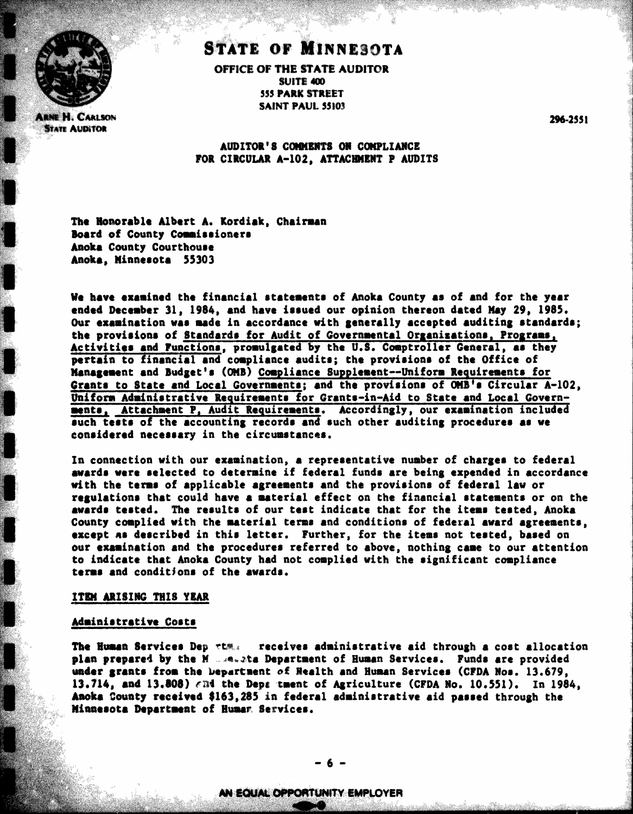

**ARNE H. CARLSON STATE AUDITOR** 

# **STATE OF MINNESOTA** OFFICE OF THE STATE AUDITOR

SUITE 400 **555 PARK STREET SAINT PAUL 55103** 

296-2551

# AUDITOR'S COMMENTS ON COMPLIANCE FOR CIRCULAR A-102. ATTACHMENT P AUDITS

The Honorable Albert A. Kordiak, Chairman Board of County Commissioners Anoka County Courthouse Anoka, Minnesota 55303

We have examined the financial statements of Anoka County as of and for the year ended December 31, 1984, and have issued our opinion thereon dated May 29, 1985. Our examination was made in accordance with generally accepted auditing standards; the provisions of Standards for Audit of Governmental Organizations, Programs, Activities and Functions, promulgated by the U.S. Comptroller General, as they pertain to financial and compliance audits; the provisions of the Office of Management and Budget's (OMB) Compliance Supplement--Uniform Requirements for Grants to State and Local Governments; and the provisions of OMB's Circular A-102. Uniform Administrative Requirements for Grants-in-Aid to State and Local Governments, Attachment P, Audit Requirements. Accordingly, our examination included such tests of the accounting records and such other auditing procedures as we considered necessary in the circumstances.

In connection with our examination, a representative number of charges to federal awards were selected to determine if federal funds are being expended in accordance with the terms of applicable agreements and the provisions of federal law or regulations that could have a material effect on the financial statements or on the awards tested. The results of our test indicate that for the items tested, Anoka County complied with the material terms and conditions of federal award agreements, except as described in this letter. Further, for the items not tested, based on our examination and the procedures referred to above, nothing came to our attention to indicate that Anoka County had not complied with the significant compliance terms and conditions of the awards.

#### ITEM ARISING THIS YEAR

#### Administrative Costs

The Human Services Dep rtm. receives administrative aid through a cost allocation plan prepared by the M ....e.ta Department of Human Services. Funds are provided under grants from the Department of Realth and Human Services (CFDA Nos. 13.679, 13.714, and 13.808)  $\epsilon$ md the Depa tment of Agriculture (CFDA No. 10.551). In 1984. Anoka County received \$163.285 in federal administrative aid passed through the Minnesota Department of Human Services.